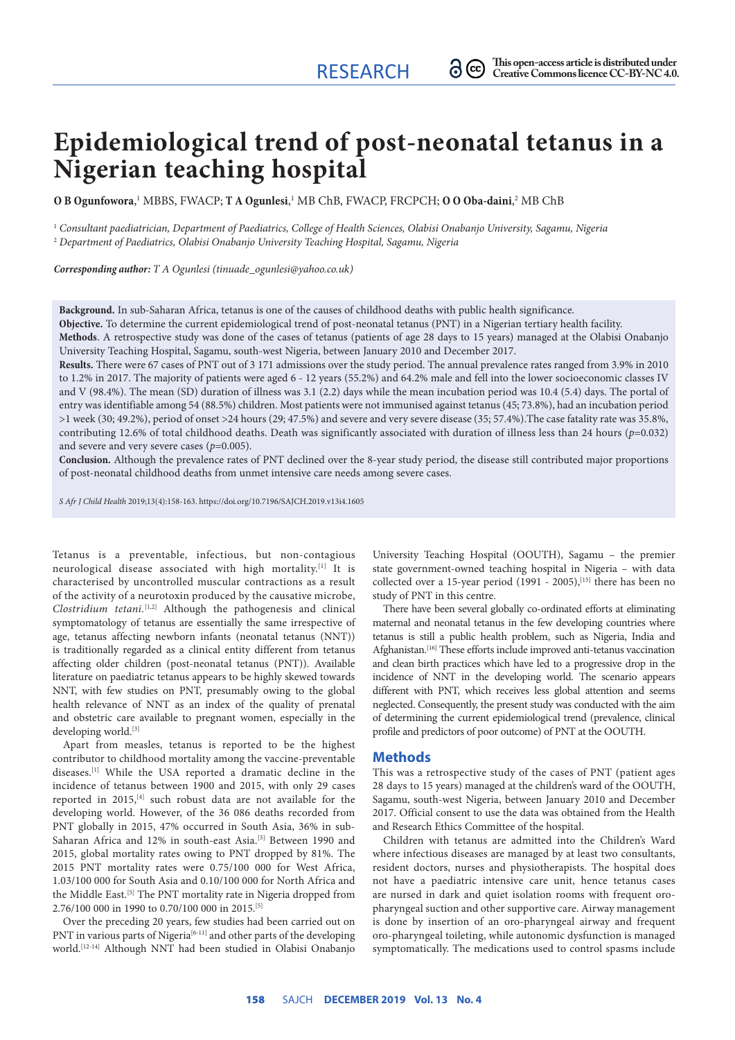# **Epidemiological trend of post-neonatal tetanus in a Nigerian teaching hospital**

**O B Ogunfowora**,<sup>1</sup> MBBS, FWACP; **T A Ogunlesi**,<sup>1</sup> MB ChB, FWACP, FRCPCH; **O O Oba-daini**,<sup>2</sup> MB ChB

1  *Consultant paediatrician, Department of Paediatrics, College of Health Sciences, Olabisi Onabanjo University, Sagamu, Nigeria* 2  *Department of Paediatrics, Olabisi Onabanjo University Teaching Hospital, Sagamu, Nigeria*

*Corresponding author: T A Ogunlesi (tinuade\_ogunlesi@yahoo.co.uk)*

**Background.** In sub-Saharan Africa, tetanus is one of the causes of childhood deaths with public health significance.

**Objective.** To determine the current epidemiological trend of post-neonatal tetanus (PNT) in a Nigerian tertiary health facility.

**Methods**. A retrospective study was done of the cases of tetanus (patients of age 28 days to 15 years) managed at the Olabisi Onabanjo University Teaching Hospital, Sagamu, south-west Nigeria, between January 2010 and December 2017.

**Results.** There were 67 cases of PNT out of 3 171 admissions over the study period. The annual prevalence rates ranged from 3.9% in 2010 to 1.2% in 2017. The majority of patients were aged 6 - 12 years (55.2%) and 64.2% male and fell into the lower socioeconomic classes IV and V (98.4%). The mean (SD) duration of illness was 3.1 (2.2) days while the mean incubation period was 10.4 (5.4) days. The portal of entry was identifiable among 54 (88.5%) children. Most patients were not immunised against tetanus (45; 73.8%), had an incubation period >1 week (30; 49.2%), period of onset >24 hours (29; 47.5%) and severe and very severe disease (35; 57.4%).The case fatality rate was 35.8%, contributing 12.6% of total childhood deaths. Death was significantly associated with duration of illness less than 24 hours (*p*=0.032) and severe and very severe cases (*p*=0.005).

**Conclusion.** Although the prevalence rates of PNT declined over the 8-year study period, the disease still contributed major proportions of post-neonatal childhood deaths from unmet intensive care needs among severe cases.

*S Afr J Child Health* 2019;13(4):158-163. https://doi.org/10.7196/SAJCH.2019.v13i4.1605

Tetanus is a preventable, infectious, but non-contagious neurological disease associated with high mortality.[1] It is characterised by uncontrolled muscular contractions as a result of the activity of a neurotoxin produced by the causative microbe, *Clostridium tetani.*[1,2] Although the pathogenesis and clinical symptomatology of tetanus are essentially the same irrespective of age, tetanus affecting newborn infants (neonatal tetanus (NNT)) is traditionally regarded as a clinical entity different from tetanus affecting older children (post-neonatal tetanus (PNT)). Available literature on paediatric tetanus appears to be highly skewed towards NNT, with few studies on PNT, presumably owing to the global health relevance of NNT as an index of the quality of prenatal and obstetric care available to pregnant women, especially in the developing world.[3]

Apart from measles, tetanus is reported to be the highest contributor to childhood mortality among the vaccine-preventable diseases.[1] While the USA reported a dramatic decline in the incidence of tetanus between 1900 and 2015, with only 29 cases reported in 2015,<sup>[4]</sup> such robust data are not available for the developing world. However, of the 36 086 deaths recorded from PNT globally in 2015, 47% occurred in South Asia, 36% in sub-Saharan Africa and 12% in south-east Asia.<sup>[5]</sup> Between 1990 and 2015, global mortality rates owing to PNT dropped by 81%. The 2015 PNT mortality rates were 0.75/100 000 for West Africa, 1.03/100 000 for South Asia and 0.10/100 000 for North Africa and the Middle East.<sup>[5]</sup> The PNT mortality rate in Nigeria dropped from 2.76/100 000 in 1990 to 0.70/100 000 in 2015.[5]

Over the preceding 20 years, few studies had been carried out on PNT in various parts of Nigeria<sup>[6-11]</sup> and other parts of the developing world.[12-14] Although NNT had been studied in Olabisi Onabanjo

University Teaching Hospital (OOUTH), Sagamu – the premier state government-owned teaching hospital in Nigeria – with data collected over a 15-year period  $(1991 - 2005)$ , [15] there has been no study of PNT in this centre.

There have been several globally co-ordinated efforts at eliminating maternal and neonatal tetanus in the few developing countries where tetanus is still a public health problem, such as Nigeria, India and Afghanistan.<sup>[16]</sup> These efforts include improved anti-tetanus vaccination and clean birth practices which have led to a progressive drop in the incidence of NNT in the developing world. The scenario appears different with PNT, which receives less global attention and seems neglected. Consequently, the present study was conducted with the aim of determining the current epidemiological trend (prevalence, clinical profile and predictors of poor outcome) of PNT at the OOUTH.

#### **Methods**

This was a retrospective study of the cases of PNT (patient ages 28 days to 15 years) managed at the children's ward of the OOUTH, Sagamu, south-west Nigeria, between January 2010 and December 2017. Official consent to use the data was obtained from the Health and Research Ethics Committee of the hospital.

Children with tetanus are admitted into the Children's Ward where infectious diseases are managed by at least two consultants, resident doctors, nurses and physiotherapists. The hospital does not have a paediatric intensive care unit, hence tetanus cases are nursed in dark and quiet isolation rooms with frequent oropharyngeal suction and other supportive care. Airway management is done by insertion of an oro-pharyngeal airway and frequent oro-pharyngeal toileting, while autonomic dysfunction is managed symptomatically. The medications used to control spasms include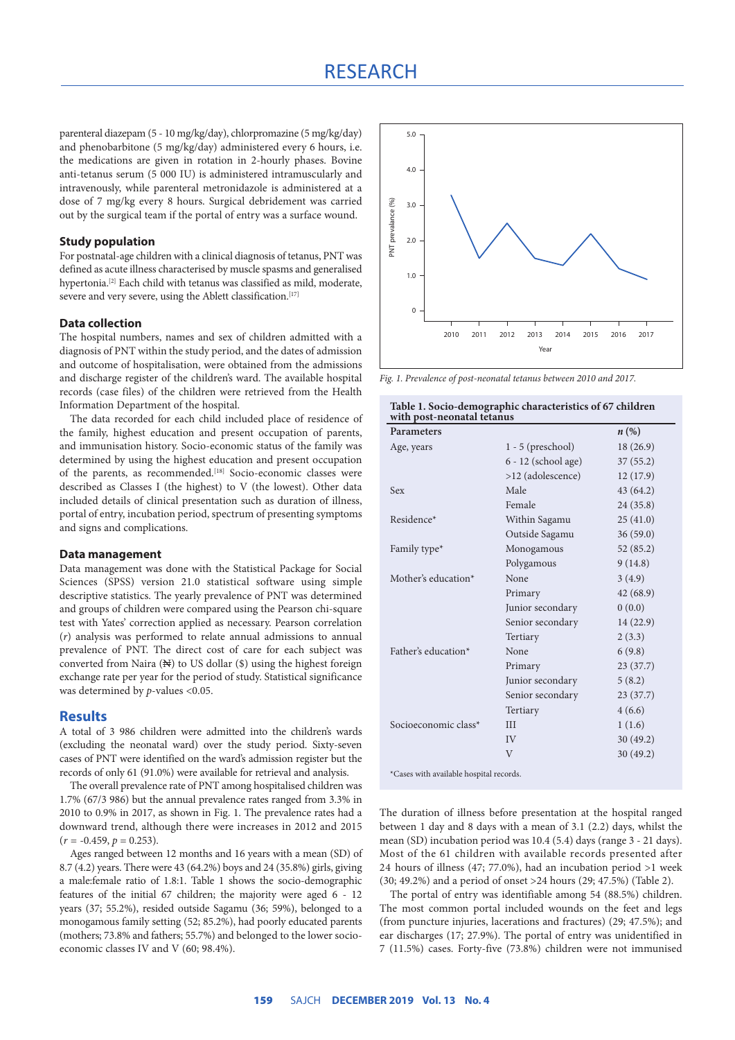### RESEARCH

parenteral diazepam (5 - 10 mg/kg/day), chlorpromazine (5 mg/kg/day) and phenobarbitone (5 mg/kg/day) administered every 6 hours, i.e. the medications are given in rotation in 2-hourly phases. Bovine anti-tetanus serum (5 000 IU) is administered intramuscularly and intravenously, while parenteral metronidazole is administered at a dose of 7 mg/kg every 8 hours. Surgical debridement was carried out by the surgical team if the portal of entry was a surface wound.

#### **Study population**

For postnatal-age children with a clinical diagnosis of tetanus, PNT was defined as acute illness characterised by muscle spasms and generalised hypertonia.[2] Each child with tetanus was classified as mild, moderate, severe and very severe, using the Ablett classification.<sup>[17]</sup>

#### **Data collection**

The hospital numbers, names and sex of children admitted with a diagnosis of PNT within the study period, and the dates of admission and outcome of hospitalisation, were obtained from the admissions and discharge register of the children's ward. The available hospital records (case files) of the children were retrieved from the Health Information Department of the hospital.

The data recorded for each child included place of residence of the family, highest education and present occupation of parents, and immunisation history. Socio-economic status of the family was determined by using the highest education and present occupation of the parents, as recommended.<sup>[18]</sup> Socio-economic classes were described as Classes I (the highest) to V (the lowest). Other data included details of clinical presentation such as duration of illness, portal of entry, incubation period, spectrum of presenting symptoms and signs and complications.

#### **Data management**

Data management was done with the Statistical Package for Social Sciences (SPSS) version 21.0 statistical software using simple descriptive statistics. The yearly prevalence of PNT was determined and groups of children were compared using the Pearson chi-square test with Yates' correction applied as necessary. Pearson correlation (*r*) analysis was performed to relate annual admissions to annual prevalence of PNT. The direct cost of care for each subject was converted from Naira  $(\mathbb{N})$  to US dollar  $(\$)$  using the highest foreign exchange rate per year for the period of study. Statistical significance was determined by *p*-values <0.05.

#### **Results**

A total of 3 986 children were admitted into the children's wards (excluding the neonatal ward) over the study period. Sixty-seven cases of PNT were identified on the ward's admission register but the records of only 61 (91.0%) were available for retrieval and analysis.

The overall prevalence rate of PNT among hospitalised children was 1.7% (67/3 986) but the annual prevalence rates ranged from 3.3% in 2010 to 0.9% in 2017, as shown in Fig. 1. The prevalence rates had a downward trend, although there were increases in 2012 and 2015  $(r = -0.459, p = 0.253).$ 

Ages ranged between 12 months and 16 years with a mean (SD) of 8.7 (4.2) years. There were 43 (64.2%) boys and 24 (35.8%) girls, giving a male:female ratio of 1.8:1. Table 1 shows the socio-demographic features of the initial 67 children; the majority were aged 6 - 12 years (37; 55.2%), resided outside Sagamu (36; 59%), belonged to a monogamous family setting (52; 85.2%), had poorly educated parents (mothers; 73.8% and fathers; 55.7%) and belonged to the lower socioeconomic classes IV and V (60; 98.4%).



*Fig. 1. Prevalence of post-neonatal tetanus between 2010 and 2017.*

| PNT prevalance (%)<br>3.0<br>2.0                                                                                                                                                                                                                                                                                                                                                                                              |                                                                 |                    |
|-------------------------------------------------------------------------------------------------------------------------------------------------------------------------------------------------------------------------------------------------------------------------------------------------------------------------------------------------------------------------------------------------------------------------------|-----------------------------------------------------------------|--------------------|
| 1.0                                                                                                                                                                                                                                                                                                                                                                                                                           |                                                                 |                    |
| 0                                                                                                                                                                                                                                                                                                                                                                                                                             |                                                                 |                    |
| 2010<br>2011                                                                                                                                                                                                                                                                                                                                                                                                                  | 2012<br>2013<br>2014<br>2015<br>Year                            | 2016<br>2017       |
| Fig. 1. Prevalence of post-neonatal tetanus between 2010 and 2017.                                                                                                                                                                                                                                                                                                                                                            |                                                                 |                    |
| with post-neonatal tetanus                                                                                                                                                                                                                                                                                                                                                                                                    | Table 1. Socio-demographic characteristics of 67 children       |                    |
| Parameters                                                                                                                                                                                                                                                                                                                                                                                                                    |                                                                 | $n\left(\%\right)$ |
| Age, years                                                                                                                                                                                                                                                                                                                                                                                                                    | $1 - 5$ (preschool)                                             | 18(26.9)           |
|                                                                                                                                                                                                                                                                                                                                                                                                                               | 6 - 12 (school age)                                             | 37(55.2)           |
|                                                                                                                                                                                                                                                                                                                                                                                                                               | >12 (adolescence)                                               | 12(17.9)           |
| Sex                                                                                                                                                                                                                                                                                                                                                                                                                           | Male                                                            | 43 (64.2)          |
|                                                                                                                                                                                                                                                                                                                                                                                                                               | Female                                                          | 24 (35.8)          |
| Residence*                                                                                                                                                                                                                                                                                                                                                                                                                    | Within Sagamu                                                   | 25(41.0)           |
|                                                                                                                                                                                                                                                                                                                                                                                                                               | Outside Sagamu                                                  | 36(59.0)           |
| Family type*                                                                                                                                                                                                                                                                                                                                                                                                                  | Monogamous                                                      | 52(85.2)           |
|                                                                                                                                                                                                                                                                                                                                                                                                                               | Polygamous                                                      | 9(14.8)            |
| Mother's education*                                                                                                                                                                                                                                                                                                                                                                                                           | None                                                            | 3 (4.9)            |
|                                                                                                                                                                                                                                                                                                                                                                                                                               | Primary                                                         | 42 (68.9)          |
|                                                                                                                                                                                                                                                                                                                                                                                                                               | Junior secondary                                                | 0(0.0)             |
|                                                                                                                                                                                                                                                                                                                                                                                                                               | Senior secondary                                                | 14 (22.9)          |
|                                                                                                                                                                                                                                                                                                                                                                                                                               | Tertiary                                                        | 2(3.3)             |
| Father's education*                                                                                                                                                                                                                                                                                                                                                                                                           | None                                                            | 6(9.8)             |
|                                                                                                                                                                                                                                                                                                                                                                                                                               |                                                                 | 23(37.7)           |
|                                                                                                                                                                                                                                                                                                                                                                                                                               | Primary                                                         |                    |
|                                                                                                                                                                                                                                                                                                                                                                                                                               | Junior secondary                                                | 5(8.2)             |
|                                                                                                                                                                                                                                                                                                                                                                                                                               | Senior secondary                                                | 23(37.7)           |
|                                                                                                                                                                                                                                                                                                                                                                                                                               | Tertiary                                                        | 4(6.6)             |
| Socioeconomic class*                                                                                                                                                                                                                                                                                                                                                                                                          | Ш                                                               | 1(1.6)             |
|                                                                                                                                                                                                                                                                                                                                                                                                                               | IV                                                              | 30 (49.2)          |
| *Cases with available hospital records.                                                                                                                                                                                                                                                                                                                                                                                       | $\overline{V}$                                                  | 30 (49.2)          |
|                                                                                                                                                                                                                                                                                                                                                                                                                               |                                                                 |                    |
| The duration of illness before presentation at the hospital ranged<br>between 1 day and 8 days with a mean of 3.1 (2.2) days, whilst the<br>mean (SD) incubation period was 10.4 (5.4) days (range 3 - 21 days).<br>Most of the 61 children with available records presented after<br>24 hours of illness (47; 77.0%), had an incubation period >1 week<br>(30; 49.2%) and a period of onset >24 hours (29; 47.5%) (Table 2). | The portal of entry was identifiable among 54 (88.5%) children. |                    |
| The most common portal included wounds on the feet and legs<br>(from puncture injuries, lacerations and fractures) (29; 47.5%); and<br>ear discharges (17; 27.9%). The portal of entry was unidentified in<br>7 (11.5%) cases. Forty-five (73.8%) children were not immunised                                                                                                                                                 |                                                                 |                    |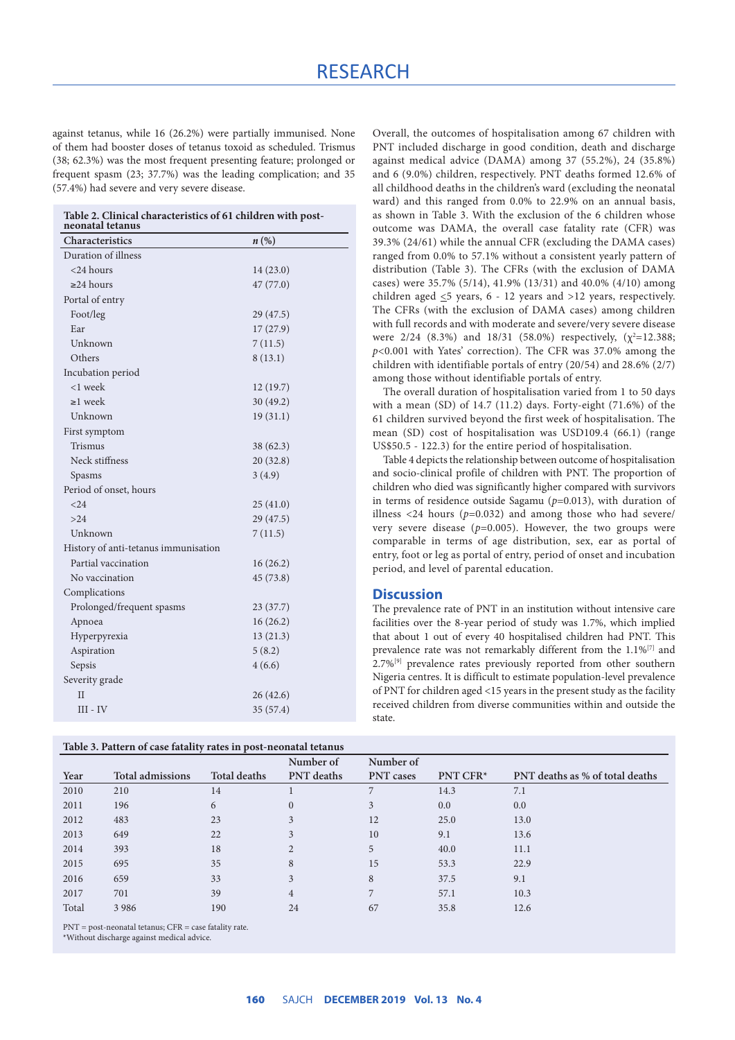against tetanus, while 16 (26.2%) were partially immunised. None of them had booster doses of tetanus toxoid as scheduled. Trismus (38; 62.3%) was the most frequent presenting feature; prolonged or frequent spasm (23; 37.7%) was the leading complication; and 35 (57.4%) had severe and very severe disease.

| Table 2. Clinical characteristics of 61 children with post- |  |  |
|-------------------------------------------------------------|--|--|
| noonatal tatanya                                            |  |  |

| neonatal tetanus                     |                     |
|--------------------------------------|---------------------|
| Characteristics                      | $n\left(\% \right)$ |
| Duration of illness                  |                     |
| $<$ 24 hours                         | 14(23.0)            |
| $\geq$ 24 hours                      | 47 (77.0)           |
| Portal of entry                      |                     |
| Foot/leg                             | 29 (47.5)           |
| Ear                                  | 17(27.9)            |
| Unknown                              | 7(11.5)             |
| Others                               | 8(13.1)             |
| Incubation period                    |                     |
| <1 week                              | 12(19.7)            |
| $\geq$ 1 week                        | 30(49.2)            |
| Unknown                              | 19(31.1)            |
| First symptom                        |                     |
| <b>Trismus</b>                       | 38 (62.3)           |
| Neck stiffness                       | 20(32.8)            |
| Spasms                               | 3(4.9)              |
| Period of onset, hours               |                     |
| < 24                                 | 25(41.0)            |
| >24                                  | 29 (47.5)           |
| Unknown                              | 7(11.5)             |
| History of anti-tetanus immunisation |                     |
| Partial vaccination                  | 16(26.2)            |
| No vaccination                       | 45 (73.8)           |
| Complications                        |                     |
| Prolonged/frequent spasms            | 23(37.7)            |
| Apnoea                               | 16(26.2)            |
| Hyperpyrexia                         | 13(21.3)            |
| Aspiration                           | 5(8.2)              |
| Sepsis                               | 4(6.6)              |
| Severity grade                       |                     |
| H                                    | 26 (42.6)           |
| $III - IV$                           | 35 (57.4)           |

| Table 3. Pattern of case fatality rates in post-neonatal tetanus |  |  |  |
|------------------------------------------------------------------|--|--|--|
|------------------------------------------------------------------|--|--|--|

Overall, the outcomes of hospitalisation among 67 children with PNT included discharge in good condition, death and discharge against medical advice (DAMA) among 37 (55.2%), 24 (35.8%) and 6 (9.0%) children, respectively. PNT deaths formed 12.6% of all childhood deaths in the children's ward (excluding the neonatal ward) and this ranged from 0.0% to 22.9% on an annual basis, as shown in Table 3. With the exclusion of the 6 children whose outcome was DAMA, the overall case fatality rate (CFR) was 39.3% (24/61) while the annual CFR (excluding the DAMA cases) ranged from 0.0% to 57.1% without a consistent yearly pattern of distribution (Table 3). The CFRs (with the exclusion of DAMA cases) were 35.7% (5/14), 41.9% (13/31) and 40.0% (4/10) among children aged  $\leq$ 5 years, 6 - 12 years and >12 years, respectively. The CFRs (with the exclusion of DAMA cases) among children with full records and with moderate and severe/very severe disease were 2/24 (8.3%) and 18/31 (58.0%) respectively,  $(\chi^2=12.388;$ *p*<0.001 with Yates' correction). The CFR was 37.0% among the children with identifiable portals of entry (20/54) and 28.6% (2/7) among those without identifiable portals of entry.

The overall duration of hospitalisation varied from 1 to 50 days with a mean (SD) of 14.7 (11.2) days. Forty-eight (71.6%) of the 61 children survived beyond the first week of hospitalisation. The mean (SD) cost of hospitalisation was USD109.4 (66.1) (range US\$50.5 - 122.3) for the entire period of hospitalisation.

Table 4 depicts the relationship between outcome of hospitalisation and socio-clinical profile of children with PNT. The proportion of children who died was significantly higher compared with survivors in terms of residence outside Sagamu (*p*=0.013), with duration of illness  $\langle 24 \text{ hours } (p=0.032)$  and among those who had severe/ very severe disease (*p*=0.005). However, the two groups were comparable in terms of age distribution, sex, ear as portal of entry, foot or leg as portal of entry, period of onset and incubation period, and level of parental education.

### **Discussion**

The prevalence rate of PNT in an institution without intensive care facilities over the 8-year period of study was 1.7%, which implied that about 1 out of every 40 hospitalised children had PNT. This prevalence rate was not remarkably different from the 1.1%[7] and 2.7%[9] prevalence rates previously reported from other southern Nigeria centres. It is difficult to estimate population-level prevalence of PNT for children aged <15 years in the present study as the facility received children from diverse communities within and outside the state.

| Table 5. Pattern of case fatality rates in post-neonatal tetanus |                         |                     |                   |                  |          |                                 |
|------------------------------------------------------------------|-------------------------|---------------------|-------------------|------------------|----------|---------------------------------|
|                                                                  |                         |                     | Number of         | Number of        |          |                                 |
| Year                                                             | <b>Total admissions</b> | <b>Total deaths</b> | <b>PNT</b> deaths | <b>PNT</b> cases | PNT CFR* | PNT deaths as % of total deaths |
| 2010                                                             | 210                     | 14                  |                   |                  | 14.3     | 7.1                             |
| 2011                                                             | 196                     | 6                   | $\mathbf{0}$      | 3                | 0.0      | 0.0                             |
| 2012                                                             | 483                     | 23                  | 3                 | 12               | 25.0     | 13.0                            |
| 2013                                                             | 649                     | 22                  | 3                 | 10               | 9.1      | 13.6                            |
| 2014                                                             | 393                     | 18                  | $\overline{2}$    | 5                | 40.0     | 11.1                            |
| 2015                                                             | 695                     | 35                  | 8                 | 15               | 53.3     | 22.9                            |
| 2016                                                             | 659                     | 33                  | 3                 | 8                | 37.5     | 9.1                             |
| 2017                                                             | 701                     | 39                  | $\overline{4}$    |                  | 57.1     | 10.3                            |
| Total                                                            | 3986                    | 190                 | 24                | 67               | 35.8     | 12.6                            |
|                                                                  |                         |                     |                   |                  |          |                                 |

PNT = post-neonatal tetanus; CFR = case fatality rate.

\*Without discharge against medical advice.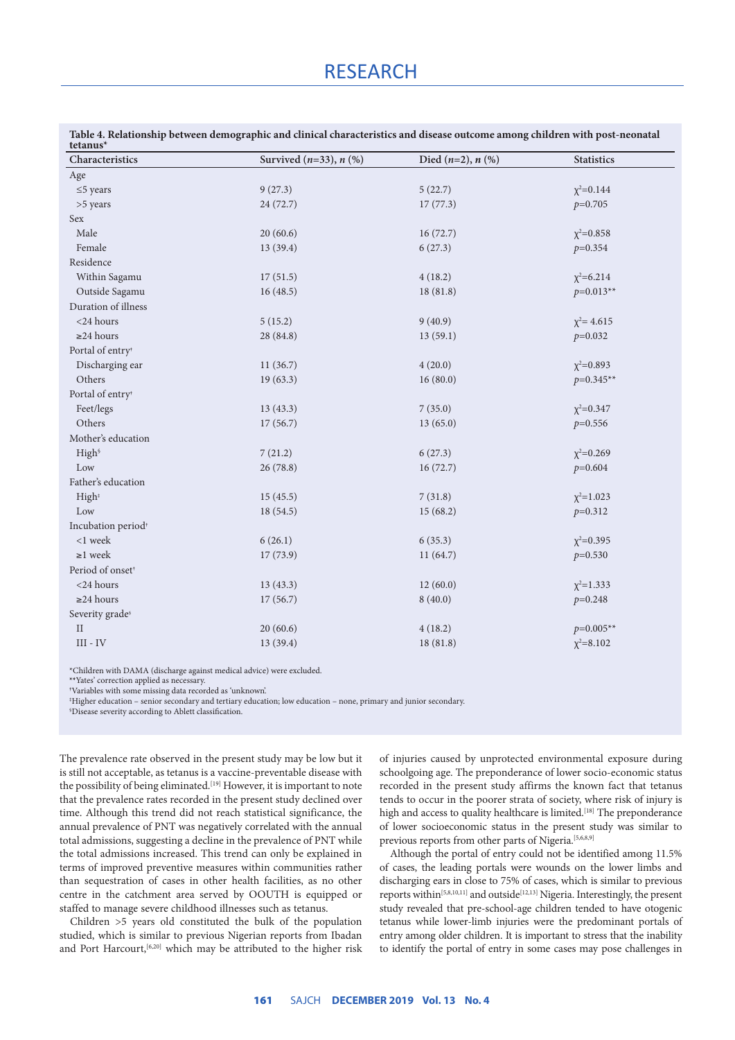## **RESEARCH**

| tetanus <sup>*</sup>           |                                |                           |                   |  |
|--------------------------------|--------------------------------|---------------------------|-------------------|--|
| Characteristics                | Survived $(n=33)$ , $n$ $(\%)$ | Died $(n=2)$ , $n$ $(\%)$ | <b>Statistics</b> |  |
| Age                            |                                |                           |                   |  |
| $\leq$ 5 years                 | 9(27.3)                        | 5(22.7)                   | $\chi^2 = 0.144$  |  |
| >5 years                       | 24 (72.7)                      | 17(77.3)                  | $p=0.705$         |  |
| Sex                            |                                |                           |                   |  |
| Male                           | 20(60.6)                       | 16(72.7)                  | $\chi^2 = 0.858$  |  |
| Female                         | 13 (39.4)                      | 6(27.3)                   | $p=0.354$         |  |
| Residence                      |                                |                           |                   |  |
| Within Sagamu                  | 17(51.5)                       | 4(18.2)                   | $\chi^2 = 6.214$  |  |
| Outside Sagamu                 | 16(48.5)                       | 18(81.8)                  | $p=0.013**$       |  |
| Duration of illness            |                                |                           |                   |  |
| <24 hours                      | 5(15.2)                        | 9(40.9)                   | $\chi^2$ = 4.615  |  |
| $\geq$ 24 hours                | 28 (84.8)                      | 13(59.1)                  | $p=0.032$         |  |
| Portal of entry <sup>t</sup>   |                                |                           |                   |  |
| Discharging ear                | 11(36.7)                       | 4(20.0)                   | $\chi^2 = 0.893$  |  |
| Others                         | 19(63.3)                       | 16(80.0)                  | $p=0.345**$       |  |
| Portal of entry <sup>®</sup>   |                                |                           |                   |  |
| Feet/legs                      | 13(43.3)                       | 7(35.0)                   | $\chi^2$ =0.347   |  |
| Others                         | 17(56.7)                       | 13(65.0)                  | $p=0.556$         |  |
| Mother's education             |                                |                           |                   |  |
| High <sup>§</sup>              | 7(21.2)                        | 6(27.3)                   | $\chi^2 = 0.269$  |  |
| Low                            | 26(78.8)                       | 16(72.7)                  | $p=0.604$         |  |
| Father's education             |                                |                           |                   |  |
| High <sup>*</sup>              | 15(45.5)                       | 7(31.8)                   | $\chi^2$ =1.023   |  |
| Low                            | 18(54.5)                       | 15(68.2)                  | $p=0.312$         |  |
| Incubation period <sup>+</sup> |                                |                           |                   |  |
| <1 week                        | 6(26.1)                        | 6(35.3)                   | $\chi^2 = 0.395$  |  |
| $\geq 1$ week                  | 17(73.9)                       | 11(64.7)                  | $p=0.530$         |  |
| Period of onset <sup>®</sup>   |                                |                           |                   |  |
| <24 hours                      | 13(43.3)                       | 12(60.0)                  | $\chi^2$ =1.333   |  |
| $\geq$ 24 hours                | 17(56.7)                       | 8(40.0)                   | $p=0.248$         |  |
| Severity grade <sup>§</sup>    |                                |                           |                   |  |
| $\mathcal{I}$                  | 20(60.6)                       | 4(18.2)                   | $p=0.005**$       |  |
| $\rm III$ - $\rm IV$           | 13 (39.4)                      | 18(81.8)                  | $\chi^2 = 8.102$  |  |

**Table 4. Relationship between demographic and clinical characteristics and disease outcome among children with post-neonatal tetanus\***

\*Children with DAMA (discharge against medical advice) were excluded.

**\*\***Yates' correction applied as necessary.

**†** Variables with some missing data recorded as 'unknown'. § Disease severity according to Ablett classification.

‡ Higher education – senior secondary and tertiary education; low education – none, primary and junior secondary.

The prevalence rate observed in the present study may be low but it is still not acceptable, as tetanus is a vaccine-preventable disease with the possibility of being eliminated.[19] However, it is important to note that the prevalence rates recorded in the present study declined over time. Although this trend did not reach statistical significance, the annual prevalence of PNT was negatively correlated with the annual total admissions, suggesting a decline in the prevalence of PNT while the total admissions increased. This trend can only be explained in terms of improved preventive measures within communities rather than sequestration of cases in other health facilities, as no other centre in the catchment area served by OOUTH is equipped or staffed to manage severe childhood illnesses such as tetanus.

Children >5 years old constituted the bulk of the population studied, which is similar to previous Nigerian reports from Ibadan and Port Harcourt,<sup>[6,20]</sup> which may be attributed to the higher risk

of injuries caused by unprotected environmental exposure during schoolgoing age. The preponderance of lower socio-economic status recorded in the present study affirms the known fact that tetanus tends to occur in the poorer strata of society, where risk of injury is high and access to quality healthcare is limited.<sup>[18]</sup> The preponderance of lower socioeconomic status in the present study was similar to previous reports from other parts of Nigeria.<sup>[5,6,8,9]</sup>

Although the portal of entry could not be identified among 11.5% of cases, the leading portals were wounds on the lower limbs and discharging ears in close to 75% of cases, which is similar to previous reports within<sup>[5,8,10,11]</sup> and outside<sup>[12,13]</sup> Nigeria. Interestingly, the present study revealed that pre-school-age children tended to have otogenic tetanus while lower-limb injuries were the predominant portals of entry among older children. It is important to stress that the inability to identify the portal of entry in some cases may pose challenges in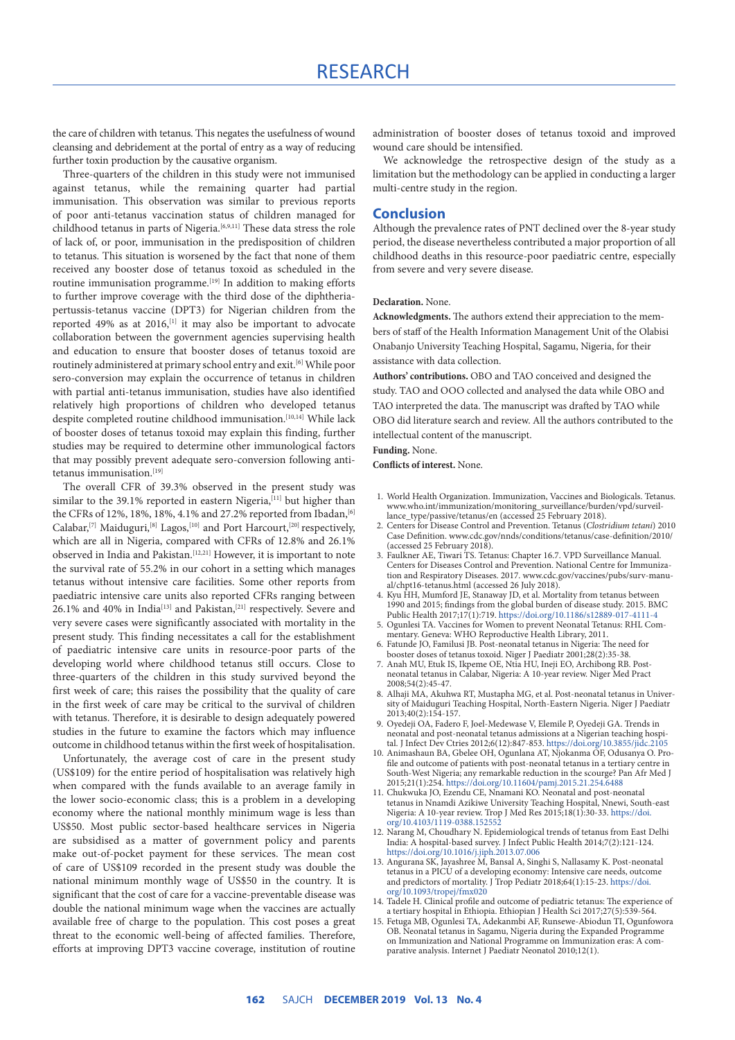the care of children with tetanus. This negates the usefulness of wound cleansing and debridement at the portal of entry as a way of reducing further toxin production by the causative organism.

Three-quarters of the children in this study were not immunised against tetanus, while the remaining quarter had partial immunisation. This observation was similar to previous reports of poor anti-tetanus vaccination status of children managed for childhood tetanus in parts of Nigeria.[6,9,11] These data stress the role of lack of, or poor, immunisation in the predisposition of children to tetanus. This situation is worsened by the fact that none of them received any booster dose of tetanus toxoid as scheduled in the routine immunisation programme.[19] In addition to making efforts to further improve coverage with the third dose of the diphtheriapertussis-tetanus vaccine (DPT3) for Nigerian children from the reported 49% as at 2016,<sup>[1]</sup> it may also be important to advocate collaboration between the government agencies supervising health and education to ensure that booster doses of tetanus toxoid are routinely administered at primary school entry and exit.[6] While poor sero-conversion may explain the occurrence of tetanus in children with partial anti-tetanus immunisation, studies have also identified relatively high proportions of children who developed tetanus despite completed routine childhood immunisation.<sup>[10,14]</sup> While lack of booster doses of tetanus toxoid may explain this finding, further studies may be required to determine other immunological factors that may possibly prevent adequate sero-conversion following antitetanus immunisation.<sup>[19]</sup>

The overall CFR of 39.3% observed in the present study was similar to the 39.1% reported in eastern Nigeria,<sup>[11]</sup> but higher than the CFRs of 12%, 18%, 18%, 4.1% and 27.2% reported from Ibadan, [6] Calabar,<sup>[7]</sup> Maiduguri,<sup>[8]</sup> Lagos,<sup>[10]</sup> and Port Harcourt,<sup>[20]</sup> respectively, which are all in Nigeria, compared with CFRs of 12.8% and 26.1% observed in India and Pakistan.[12,21] However, it is important to note the survival rate of 55.2% in our cohort in a setting which manages tetanus without intensive care facilities. Some other reports from paediatric intensive care units also reported CFRs ranging between 26.1% and 40% in India<sup>[13]</sup> and Pakistan,<sup>[21]</sup> respectively. Severe and very severe cases were significantly associated with mortality in the present study. This finding necessitates a call for the establishment of paediatric intensive care units in resource-poor parts of the developing world where childhood tetanus still occurs. Close to three-quarters of the children in this study survived beyond the first week of care; this raises the possibility that the quality of care in the first week of care may be critical to the survival of children with tetanus. Therefore, it is desirable to design adequately powered studies in the future to examine the factors which may influence outcome in childhood tetanus within the first week of hospitalisation.

Unfortunately, the average cost of care in the present study (US\$109) for the entire period of hospitalisation was relatively high when compared with the funds available to an average family in the lower socio-economic class; this is a problem in a developing economy where the national monthly minimum wage is less than US\$50. Most public sector-based healthcare services in Nigeria are subsidised as a matter of government policy and parents make out-of-pocket payment for these services. The mean cost of care of US\$109 recorded in the present study was double the national minimum monthly wage of US\$50 in the country. It is significant that the cost of care for a vaccine-preventable disease was double the national minimum wage when the vaccines are actually available free of charge to the population. This cost poses a great threat to the economic well-being of affected families. Therefore, efforts at improving DPT3 vaccine coverage, institution of routine

administration of booster doses of tetanus toxoid and improved wound care should be intensified.

We acknowledge the retrospective design of the study as a limitation but the methodology can be applied in conducting a larger multi-centre study in the region.

#### **Conclusion**

Although the prevalence rates of PNT declined over the 8-year study period, the disease nevertheless contributed a major proportion of all childhood deaths in this resource-poor paediatric centre, especially from severe and very severe disease.

#### **Declaration.** None.

**Acknowledgments.** The authors extend their appreciation to the members of staff of the Health Information Management Unit of the Olabisi Onabanjo University Teaching Hospital, Sagamu, Nigeria, for their assistance with data collection.

**Authors' contributions.** OBO and TAO conceived and designed the study. TAO and OOO collected and analysed the data while OBO and TAO interpreted the data. The manuscript was drafted by TAO while OBO did literature search and review. All the authors contributed to the intellectual content of the manuscript.

#### **Funding.** None.

**Conflicts of interest.** None.

- 1. World Health Organization. Immunization, Vaccines and Biologicals. Tetanus. [www.who.int/immunization/monitoring\\_surveillance/burden/vpd/surveil](http://www.who.int/immunization/monitoring_surveillance/burden/vpd/surveillance_type/passive/tetanus/en)[lance\\_type/passive/tetanus/en](http://www.who.int/immunization/monitoring_surveillance/burden/vpd/surveillance_type/passive/tetanus/en) (accessed 25 February 2018).
- 2. Centers for Disease Control and Prevention. Tetanus (*Clostridium tetani*) 2010 Case Definition. [www.cdc.gov/nnds/conditions/tetanus/case-definition/2010/](http://www.cdc.gov/nnds/conditions/tetanus/case-definition/2010/) (accessed 25 February 2018).
- 3. Faulkner AE, Tiwari TS. Tetanus: Chapter 16.7. VPD Surveillance Manual. Centers for Diseases Control and Prevention. National Centre for Immunization and Respiratory Diseases. 2017. [www.cdc.gov/vaccines/pubs/surv-manu](http://www.cdc.gov/vaccines/pubs/surv-manual/chpt16-tetanus.html)[al/chpt16-tetanus.html](http://www.cdc.gov/vaccines/pubs/surv-manual/chpt16-tetanus.html) (accessed 26 July 2018).
- 4. Kyu HH, Mumford JE, Stanaway JD, et al. Mortality from tetanus between 1990 and 2015; findings from the global burden of disease study. 2015. BMC Public Health 2017;17(1):719.<https://doi.org/10.1186/s12889-017-4111-4>
- 5. Ogunlesi TA. Vaccines for Women to prevent Neonatal Tetanus: RHL Commentary. Geneva: WHO Reproductive Health Library, 2011. 6. Fatunde JO, Familusi JB. Post-neonatal tetanus in Nigeria: The need for
- booster doses of tetanus toxoid. Niger J Paediatr 2001;28(2):35-38.
- 7. Anah MU, Etuk IS, Ikpeme OE, Ntia HU, Ineji EO, Archibong RB. Postneonatal tetanus in Calabar, Nigeria: A 10-year review. Niger Med Pract 2008;54(2):45-47.
- 8. Alhaji MA, Akuhwa RT, Mustapha MG, et al. Post-neonatal tetanus in University of Maiduguri Teaching Hospital, North-Eastern Nigeria. Niger J Paediatr 2013;40(2):154-157.
- 9. Oyedeji OA, Fadero F, Joel-Medewase V, Elemile P, Oyedeji GA. Trends in neonatal and post-neonatal tetanus admissions at a Nigerian teaching hospital. J Infect Dev Ctries 2012;6(12):847-853. <https://doi.org/10.3855/jidc.2105>
- 10. Animashaun BA, Gbelee OH, Ogunlana AT, Njokanma OF, Odusanya O. Profile and outcome of patients with post-neonatal tetanus in a tertiary centre in South-West Nigeria; any remarkable reduction in the scourge? Pan Afr Med J 2015;21(1):254.<https://doi.org/10.11604/pamj.2015.21.254.6488>
- 11. Chukwuka JO, Ezendu CE, Nnamani KO. Neonatal and post-neonatal tetanus in Nnamdi Azikiwe University Teaching Hospital, Nnewi, South-east Nigeria: A 10-year review. Trop J Med Res 2015;18(1):30-33. [https://doi.](https://doi.org/10.4103/1119-0388.152552) [org/10.4103/1119-0388.152552](https://doi.org/10.4103/1119-0388.152552)
- 12. Narang M, Choudhary N. Epidemiological trends of tetanus from East Delhi India: A hospital-based survey. J Infect Public Health 2014;7(2):121-124. <https://doi.org/10.1016/j.jiph.2013.07.006>
- 13. Angurana SK, Jayashree M, Bansal A, Singhi S, Nallasamy K. Post-neonatal tetanus in a PICU of a developing economy: Intensive care needs, outcome and predictors of mortality. J Trop Pediatr 2018;64(1):15-23. [https://doi.](https://doi.org/10.1093/tropej/fmx020) [org/10.1093/tropej/fmx020](https://doi.org/10.1093/tropej/fmx020)
- 14. Tadele H. Clinical profile and outcome of pediatric tetanus: The experience of a tertiary hospital in Ethiopia. Ethiopian J Health Sci 2017;27(5):539-564.
- 15. Fetuga MB, Ogunlesi TA, Adekanmbi AF, Runsewe-Abiodun TI, Ogunfowora OB. Neonatal tetanus in Sagamu, Nigeria during the Expanded Programme on Immunization and National Programme on Immunization eras: A comparative analysis. Internet J Paediatr Neonatol 2010;12(1).